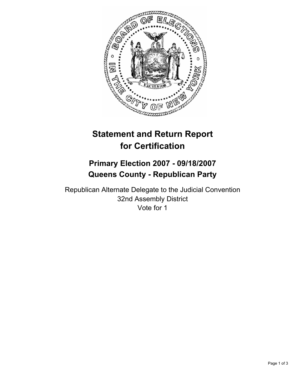

# **Statement and Return Report for Certification**

## **Primary Election 2007 - 09/18/2007 Queens County - Republican Party**

Republican Alternate Delegate to the Judicial Convention 32nd Assembly District Vote for 1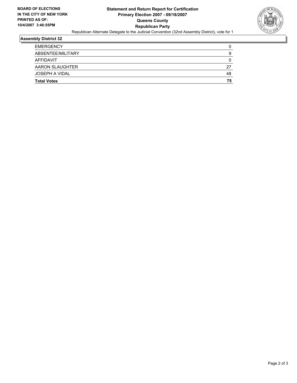

#### **Assembly District 32**

| <b>Total Votes</b> | 75 |
|--------------------|----|
| JOSEPH A VIDAL     | 48 |
| AARON SLAUGHTER    | 27 |
| AFFIDAVIT          |    |
| ABSENTEE/MILITARY  | 9  |
| <b>EMERGENCY</b>   |    |